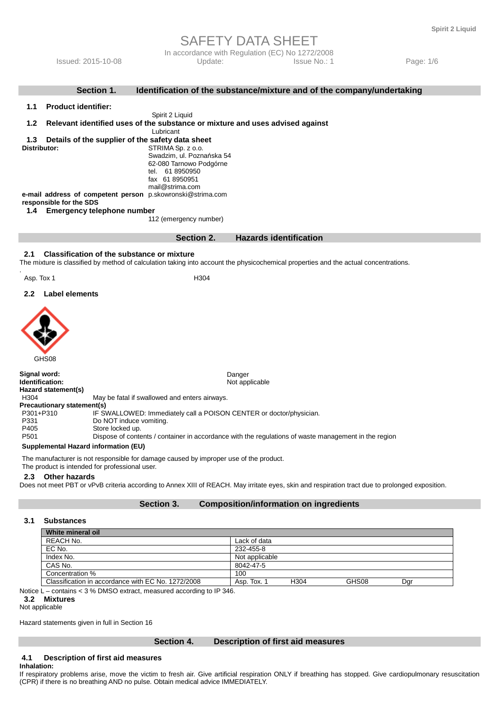In accordance with Regulation (EC) No 1272/2008 Issued: 2015-10-08 Update: Issue No.: 1 Page: 1/6

|                                                                         |                            | Section 1.                                        | Identification of the substance/mixture and of the company/undertaking                                                                        |  |  |
|-------------------------------------------------------------------------|----------------------------|---------------------------------------------------|-----------------------------------------------------------------------------------------------------------------------------------------------|--|--|
| 1.1                                                                     | <b>Product identifier:</b> |                                                   |                                                                                                                                               |  |  |
|                                                                         |                            |                                                   | Spirit 2 Liquid                                                                                                                               |  |  |
| 1.2                                                                     |                            |                                                   | Relevant identified uses of the substance or mixture and uses advised against                                                                 |  |  |
|                                                                         |                            |                                                   | Lubricant                                                                                                                                     |  |  |
| 1.3<br>Details of the supplier of the safety data sheet<br>Distributor: |                            |                                                   |                                                                                                                                               |  |  |
|                                                                         |                            |                                                   | STRIMA Sp. z o.o.<br>Swadzim, ul. Poznańska 54                                                                                                |  |  |
|                                                                         |                            |                                                   | 62-080 Tarnowo Podgórne                                                                                                                       |  |  |
|                                                                         |                            |                                                   | tel. 61 8950950                                                                                                                               |  |  |
|                                                                         |                            |                                                   | fax 61 8950951<br>mail@strima.com                                                                                                             |  |  |
|                                                                         |                            |                                                   | e-mail address of competent person p.skowronski@strima.com                                                                                    |  |  |
|                                                                         | responsible for the SDS    |                                                   |                                                                                                                                               |  |  |
| 1.4                                                                     |                            | <b>Emergency telephone number</b>                 |                                                                                                                                               |  |  |
|                                                                         |                            |                                                   | 112 (emergency number)                                                                                                                        |  |  |
|                                                                         |                            |                                                   | <b>Hazards identification</b><br>Section 2.                                                                                                   |  |  |
|                                                                         |                            |                                                   |                                                                                                                                               |  |  |
| 2.1                                                                     |                            | <b>Classification of the substance or mixture</b> |                                                                                                                                               |  |  |
|                                                                         |                            |                                                   | The mixture is classified by method of calculation taking into account the physicochemical properties and the actual concentrations.          |  |  |
| Asp. Tox 1                                                              |                            |                                                   | H304                                                                                                                                          |  |  |
|                                                                         |                            |                                                   |                                                                                                                                               |  |  |
| $2.2\phantom{0}$                                                        | <b>Label elements</b>      |                                                   |                                                                                                                                               |  |  |
|                                                                         |                            |                                                   |                                                                                                                                               |  |  |
|                                                                         |                            |                                                   |                                                                                                                                               |  |  |
|                                                                         |                            |                                                   |                                                                                                                                               |  |  |
|                                                                         |                            |                                                   |                                                                                                                                               |  |  |
|                                                                         |                            |                                                   |                                                                                                                                               |  |  |
|                                                                         | GHS08                      |                                                   |                                                                                                                                               |  |  |
|                                                                         |                            |                                                   |                                                                                                                                               |  |  |
| Signal word:                                                            |                            |                                                   | Danger                                                                                                                                        |  |  |
| Identification:                                                         |                            |                                                   | Not applicable                                                                                                                                |  |  |
| H304                                                                    | Hazard statement(s)        |                                                   | May be fatal if swallowed and enters airways.                                                                                                 |  |  |
|                                                                         | Precautionary statement(s) |                                                   |                                                                                                                                               |  |  |
| P301+P310                                                               |                            |                                                   | IF SWALLOWED: Immediately call a POISON CENTER or doctor/physician.                                                                           |  |  |
| P331                                                                    | Do NOT induce vomiting.    |                                                   |                                                                                                                                               |  |  |
| P405<br>P <sub>501</sub>                                                |                            | Store locked up.                                  | Dispose of contents / container in accordance with the regulations of waste management in the region                                          |  |  |
|                                                                         |                            | Supplemental Hazard information (EU)              |                                                                                                                                               |  |  |
|                                                                         |                            |                                                   |                                                                                                                                               |  |  |
|                                                                         |                            | The product is intended for professional user.    | The manufacturer is not responsible for damage caused by improper use of the product.                                                         |  |  |
|                                                                         | 2.3 Other hazards          |                                                   |                                                                                                                                               |  |  |
|                                                                         |                            |                                                   | Deep not meet PRT or vPyR criteria according to Annoy VIII of PEACH. May irritate over plyin and repoiration tract due to prolonged expection |  |  |

les not meet PBT or vPvB criteria according to Annex XIII of REACH. May irritate eyes, skin and respiration tract due to prolonged exposition.

#### **Section 3. Composition/information on ingredients**

#### **3.1 Substances**

| White mineral oil                                  |                |                  |       |     |  |
|----------------------------------------------------|----------------|------------------|-------|-----|--|
| REACH No.                                          | Lack of data   |                  |       |     |  |
| EC No.                                             | 232-455-8      |                  |       |     |  |
| Index No.                                          | Not applicable |                  |       |     |  |
| CAS No.                                            | 8042-47-5      |                  |       |     |  |
| Concentration %                                    | 100            |                  |       |     |  |
| Classification in accordance with EC No. 1272/2008 | Asp. Tox. 1    | H <sub>304</sub> | GHS08 | Dar |  |
|                                                    |                |                  |       |     |  |

Notice L – contains < 3 % DMSO extract, measured according to IP 346.

### **3.2 Mixtures**

Not applicable

Hazard statements given in full in Section 16

#### **Section 4. Description of first aid measures**

#### **4.1 Description of first aid measures Inhalation:**

If respiratory problems arise, move the victim to fresh air. Give artificial respiration ONLY if breathing has stopped. Give cardiopulmonary resuscitation (CPR) if there is no breathing AND no pulse. Obtain medical advice IMMEDIATELY.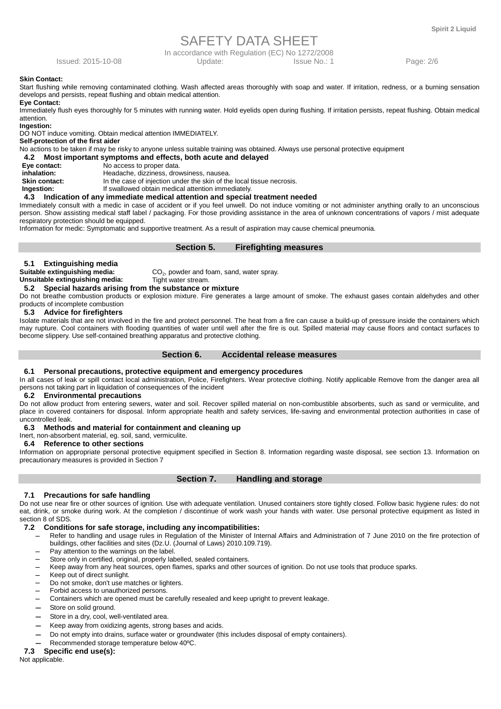In accordance with Regulation (EC) No 1272/2008

Issued: 2015-10-08 Update: Issue No.: 1 Page: 2/6

#### **Skin Contact:**

Start flushing while removing contaminated clothing. Wash affected areas thoroughly with soap and water. If irritation, redness, or a burning sensation develops and persists, repeat flushing and obtain medical attention.

#### **Eye Contact:**

Immediately flush eyes thoroughly for 5 minutes with running water. Hold eyelids open during flushing. If irritation persists, repeat flushing. Obtain medical attention.

**Ingestion:** 

DO NOT induce vomiting. Obtain medical attention IMMEDIATELY.

#### **Self-protection of the first aider**

No actions to be taken if may be risky to anyone unless suitable training was obtained. Always use personal protective equipment

#### **4.2 Most important symptoms and effects, both acute and delayed**

- **Eye contact: No access to proper data.**<br> **CONTAGE THE REPORT HEADLE HEADLE HEADLE THE HEADLE HEADLE THE MODEL INC.**
- **inhalation: Headache, dizziness, drowsiness, nausea.**<br> **Skin contact: h** the case of injection under the skin of the
- In the case of injection under the skin of the local tissue necrosis.
- **Ingestion:** If swallowed obtain medical attention immediately.

#### **4.3 Indication of any immediate medical attention and special treatment needed**

Immediately consult with a medic in case of accident or if you feel unwell. Do not induce vomiting or not administer anything orally to an unconscious person. Show assisting medical staff label / packaging. For those providing assistance in the area of unknown concentrations of vapors / mist adequate respiratory protection should be equipped.

Information for medic: Symptomatic and supportive treatment. As a result of aspiration may cause chemical pneumonia.

#### **Section 5. Firefighting measures**

#### **5.1 Extinguishing media**

 $CO<sub>2</sub>$ , powder and foam, sand, water spray.

#### **Suitable extinguishing media:** CO<sub>2</sub>, powder and fo<br> **Unsuitable extinguishing media:** Tight water stream. **Unsuitable extinguishing media:**

 **5.2 Special hazards arising from the substance or mixture** 

Do not breathe combustion products or explosion mixture. Fire generates a large amount of smoke. The exhaust gases contain aldehydes and other products of incomplete combustion

#### **5.3 Advice for firefighters**

Isolate materials that are not involved in the fire and protect personnel. The heat from a fire can cause a build-up of pressure inside the containers which may rupture. Cool containers with flooding quantities of water until well after the fire is out. Spilled material may cause floors and contact surfaces to become slippery. Use self-contained breathing apparatus and protective clothing.

#### **Section 6. Accidental release measures**

#### **6.1 Personal precautions, protective equipment and emergency procedures**

In all cases of leak or spill contact local administration, Police, Firefighters. Wear protective clothing. Notify applicable Remove from the danger area all persons not taking part in liquidation of consequences of the incident

#### **6.2 Environmental precautions**

Do not allow product from entering sewers, water and soil. Recover spilled material on non-combustible absorbents, such as sand or vermiculite, and place in covered containers for disposal. Inform appropriate health and safety services, life-saving and environmental protection authorities in case of uncontrolled leak.

#### **6.3 Methods and material for containment and cleaning up**

Inert, non-absorbent material, eg. soil, sand, vermiculite.

#### **6.4 Reference to other sections**

Information on appropriate personal protective equipment specified in Section 8. Information regarding waste disposal, see section 13. Information on precautionary measures is provided in Section 7

#### **7.1 Precautions for safe handling**

Do not use near fire or other sources of ignition. Use with adequate ventilation. Unused containers store tightly closed. Follow basic hygiene rules: do not eat, drink, or smoke during work. At the completion / discontinue of work wash your hands with water. Use personal protective equipment as listed in section 8 of SDS.

#### **7.2 Conditions for safe storage, including any incompatibilities:**

- Refer to handling and usage rules in Regulation of the Minister of Internal Affairs and Administration of 7 June 2010 on the fire protection of buildings, other facilities and sites (Dz.U. (Journal of Laws) 2010.109.719).
- Pav attention to the warnings on the label.
- − Store only in certified, original, properly labelled, sealed containers.
- Keep away from any heat sources, open flames, sparks and other sources of ignition. Do not use tools that produce sparks.
- Keep out of direct sunlight.
- Do not smoke, don't use matches or lighters.
- − Forbid access to unauthorized persons.
- − Containers which are opened must be carefully resealed and keep upright to prevent leakage.
- Store on solid ground.
- Store in a dry, cool, well-ventilated area.
- − Keep away from oxidizing agents, strong bases and acids.
- − Do not empty into drains, surface water or groundwater (this includes disposal of empty containers).
- − Recommended storage temperature below 40ºC.

### **7.3 Specific end use(s):**

Not applicable.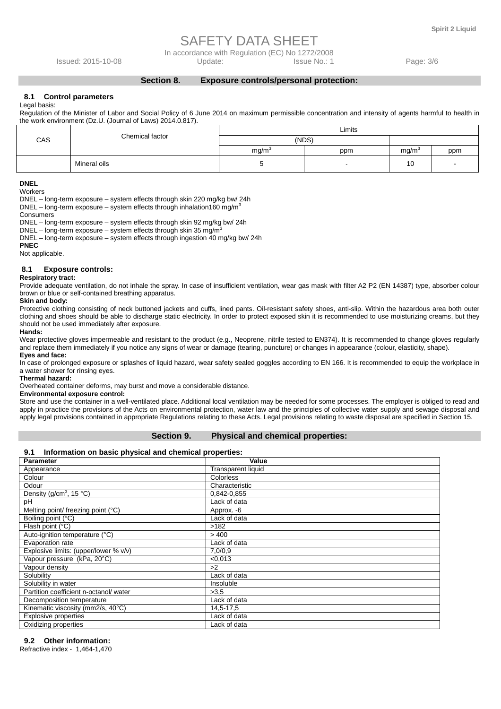In accordance with Regulation (EC) No 1272/2008

**Section 8. Exposure controls/personal protection:** 

Issued: 2015-10-08 Update: Issue No.: 1 Page: 3/6

#### **8.1 Control parameters**

Legal basis:

Regulation of the Minister of Labor and Social Policy of 6 June 2014 on maximum permissible concentration and intensity of agents harmful to health in the work environment (Dz.U. (Journal of Laws) 2014.0.817).

|     | Chemical factor | Limits            |     |                   |     |  |  |
|-----|-----------------|-------------------|-----|-------------------|-----|--|--|
| CAS |                 | (NDS)             |     |                   |     |  |  |
|     |                 | mq/m <sup>3</sup> | ppm | mg/m <sup>3</sup> | ppm |  |  |
|     | Mineral oils    |                   |     | 10                |     |  |  |

**DNEL** 

**Workers** 

DNEL – long-term exposure – system effects through skin 220 mg/kg bw/ 24h

DNEL – long-term exposure – system effects through inhalation160 mg/m<sup>3</sup>

Consumers

DNEL – long-term exposure – system effects through skin 92 mg/kg bw/ 24h

DNEL – long-term exposure – system effects through skin 35 mg/m<sup>3</sup>

DNEL – long-term exposure – system effects through ingestion 40 mg/kg bw/ 24h

**PNEC** 

Not applicable.

#### **8.1 Exposure controls:**

#### **Respiratory tract:**

Provide adequate ventilation, do not inhale the spray. In case of insufficient ventilation, wear gas mask with filter A2 P2 (EN 14387) type, absorber colour brown or blue or self-contained breathing apparatus.

#### **Skin and body:**

Protective clothing consisting of neck buttoned jackets and cuffs, lined pants. Oil-resistant safety shoes, anti-slip. Within the hazardous area both outer clothing and shoes should be able to discharge static electricity. In order to protect exposed skin it is recommended to use moisturizing creams, but they should not be used immediately after exposure.

#### **Hands:**

Wear protective gloves impermeable and resistant to the product (e.g., Neoprene, nitrile tested to EN374). It is recommended to change gloves regularly and replace them immediately if you notice any signs of wear or damage (tearing, puncture) or changes in appearance (colour, elasticity, shape). **Eyes and face:** 

In case of prolonged exposure or splashes of liquid hazard, wear safety sealed goggles according to EN 166. It is recommended to equip the workplace in a water shower for rinsing eyes.

#### **Thermal hazard:**

Overheated container deforms, may burst and move a considerable distance.

#### **Environmental exposure control:**

Store and use the container in a well-ventilated place. Additional local ventilation may be needed for some processes. The employer is obliged to read and apply in practice the provisions of the Acts on environmental protection, water law and the principles of collective water supply and sewage disposal and apply legal provisions contained in appropriate Regulations relating to these Acts. Legal provisions relating to waste disposal are specified in Section 15.

#### **Section 9. Physical and chemical properties:**

#### **9.1 Information on basic physical and chemical properties:**

| <b>Parameter</b>                      | Value                     |
|---------------------------------------|---------------------------|
| Appearance                            | <b>Transparent liquid</b> |
| Colour                                | <b>Colorless</b>          |
| Odour                                 | Characteristic            |
| Density ( $g/cm^3$ , 15 °C)           | 0,842-0,855               |
| рH                                    | Lack of data              |
| Melting point/ freezing point (°C)    | Approx. - 6               |
| Boiling point (°C)                    | Lack of data              |
| Flash point (°C)                      | >182                      |
| Auto-ignition temperature (°C)        | > 400                     |
| Evaporation rate                      | Lack of data              |
| Explosive limits: (upper/lower % v/v) | 7,0/0,9                   |
| Vapour pressure (kPa, 20°C)           | < 0.013                   |
| Vapour density                        | >2                        |
| Solubility                            | Lack of data              |
| Solubility in water                   | Insoluble                 |
| Partition coefficient n-octanol/water | >3.5                      |
| Decomposition temperature             | Lack of data              |
| Kinematic viscosity (mm2/s, 40°C)     | 14,5-17,5                 |
| <b>Explosive properties</b>           | Lack of data              |
| Oxidizing properties                  | Lack of data              |

#### **9.2 Other information:**

Refractive index - 1,464-1,470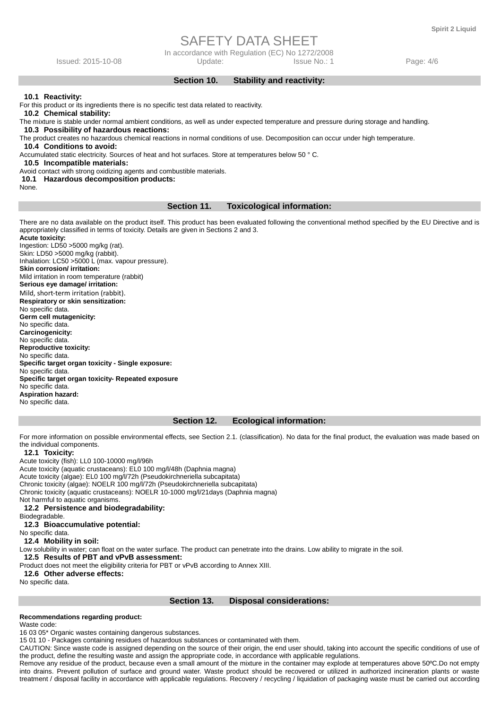In accordance with Regulation (EC) No 1272/2008

Issued: 2015-10-08 Update: Issue No.: 1 Page: 4/6

**Section 10. Stability and reactivity:** 

#### **10.1 Reactivity:**

For this product or its ingredients there is no specific test data related to reactivity.

 **10.2 Chemical stability:** 

The mixture is stable under normal ambient conditions, as well as under expected temperature and pressure during storage and handling.

 **10.3 Possibility of hazardous reactions:** 

The product creates no hazardous chemical reactions in normal conditions of use. Decomposition can occur under high temperature.

 **10.4 Conditions to avoid:** 

Accumulated static electricity. Sources of heat and hot surfaces. Store at temperatures below 50 ° C.

 **10.5 Incompatible materials:** 

Avoid contact with strong oxidizing agents and combustible materials.

#### **10.1 Hazardous decomposition products:**

None.

#### **Section 11. Toxicological information:**

There are no data available on the product itself. This product has been evaluated following the conventional method specified by the EU Directive and is appropriately classified in terms of toxicity. Details are given in Sections 2 and 3. **Acute toxicity:** 

Ingestion: LD50 >5000 mg/kg (rat). Skin: LD50 >5000 mg/kg (rabbit). Inhalation: LC50 >5000 L (max. vapour pressure). **Skin corrosion/ irritation:**  Mild irritation in room temperature (rabbit) **Serious eye damage/ irritation:**  Mild, short-term irritation (rabbit). **Respiratory or skin sensitization:**  No specific data. **Germ cell mutagenicity:**  No specific data. **Carcinogenicity:**  No specific data. **Reproductive toxicity:**  No specific data. **Specific target organ toxicity - Single exposure:**  No specific data. **Specific target organ toxicity- Repeated exposure**  No specific data. **Aspiration hazard:**  No specific data.

#### **Section 12. Ecological information:**

For more information on possible environmental effects, see Section 2.1. (classification). No data for the final product, the evaluation was made based on the individual components.

#### **12.1 Toxicity:**

Acute toxicity (fish): LL0 100-10000 mg/l/96h Acute toxicity (aquatic crustaceans): EL0 100 mg/l/48h (Daphnia magna) Acute toxicity (algae): EL0 100 mg/l/72h (Pseudokirchneriella subcapitata) Chronic toxicity (algae): NOELR 100 mg/l/72h (Pseudokirchneriella subcapitata) Chronic toxicity (aquatic crustaceans): NOELR 10-1000 mg/l/21days (Daphnia magna) Not harmful to aquatic organisms.  **12.2 Persistence and biodegradability:**  Biodegradable.  **12.3 Bioaccumulative potential:**  No specific data.  **12.4 Mobility in soil:**  Low solubility in water; can float on the water surface. The product can penetrate into the drains. Low ability to migrate in the soil.  **12.5 Results of PBT and vPvB assessment:**  Product does not meet the eligibility criteria for PBT or vPvB according to Annex XIII.  **12.6 Other adverse effects:** 

No specific data.

#### **Section 13. Disposal considerations:**

#### **Recommendations regarding product:**

Waste code:

16 03 05\* Organic wastes containing dangerous substances.

15 01 10 - Packages containing residues of hazardous substances or contaminated with them.

CAUTION: Since waste code is assigned depending on the source of their origin, the end user should, taking into account the specific conditions of use of the product, define the resulting waste and assign the appropriate code, in accordance with applicable regulations.

Remove any residue of the product, because even a small amount of the mixture in the container may explode at temperatures above 50ºC.Do not empty into drains. Prevent pollution of surface and ground water. Waste product should be recovered or utilized in authorized incineration plants or waste treatment / disposal facility in accordance with applicable regulations. Recovery / recycling / liquidation of packaging waste must be carried out according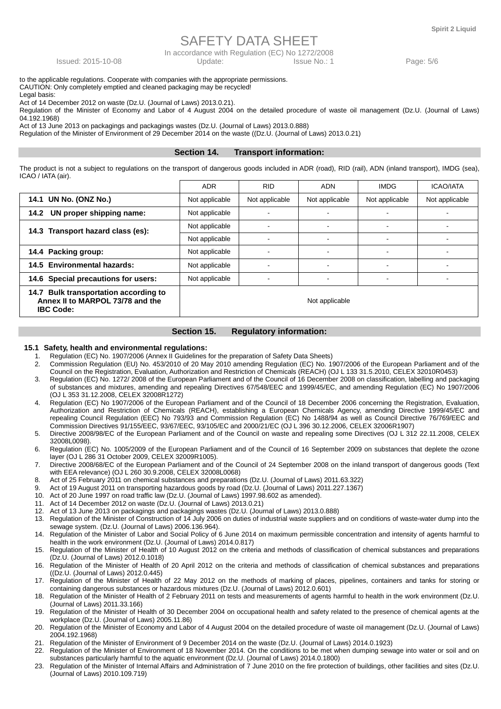In accordance with Regulation (EC) No 1272/2008

Issued: 2015-10-08 Update: Issue No.: 1 Page: 5/6

to the applicable regulations. Cooperate with companies with the appropriate permissions. CAUTION: Only completely emptied and cleaned packaging may be recycled!

Legal basis:

Act of 14 December 2012 on waste (Dz.U. (Journal of Laws) 2013.0.21).

Regulation of the Minister of Economy and Labor of 4 August 2004 on the detailed procedure of waste oil management (Dz.U. (Journal of Laws) 04.192.1968)

Act of 13 June 2013 on packagings and packagings wastes (Dz.U. (Journal of Laws) 2013.0.888)

Regulation of the Minister of Environment of 29 December 2014 on the waste ((Dz.U. (Journal of Laws) 2013.0.21)

#### **Section 14. Transport information:**

The product is not a subject to regulations on the transport of dangerous goods included in ADR (road), RID (rail), ADN (inland transport), IMDG (sea), ICAO / IATA (air).

|                                                                                               | <b>ADR</b>     | <b>RID</b>     | <b>ADN</b>     | <b>IMDG</b>    | <b>ICAO/IATA</b> |
|-----------------------------------------------------------------------------------------------|----------------|----------------|----------------|----------------|------------------|
| 14.1 UN No. (ONZ No.)                                                                         | Not applicable | Not applicable | Not applicable | Not applicable | Not applicable   |
| UN proper shipping name:<br>14.2                                                              | Not applicable |                |                |                |                  |
| 14.3 Transport hazard class (es):                                                             | Not applicable |                |                |                |                  |
|                                                                                               | Not applicable |                |                |                |                  |
| 14.4 Packing group:                                                                           | Not applicable |                |                |                |                  |
| 14.5 Environmental hazards:                                                                   | Not applicable |                |                |                |                  |
| 14.6 Special precautions for users:                                                           | Not applicable |                |                |                |                  |
| 14.7 Bulk transportation according to<br>Annex II to MARPOL 73/78 and the<br><b>IBC Code:</b> |                |                | Not applicable |                |                  |

#### **Section 15. Regulatory information:**

#### **15.1 Safety, health and environmental regulations:**

- 1. Regulation (EC) No. 1907/2006 (Annex II Guidelines for the preparation of Safety Data Sheets)<br>2. Commission Regulation (EU) No. 453/2010 of 20 May 2010 amending Regulation (EC) No. 19
- 2. Commission Regulation (EU) No. 453/2010 of 20 May 2010 amending Regulation (EC) No. 1907/2006 of the European Parliament and of the Council on the Registration, Evaluation, Authorization and Restriction of Chemicals (REACH) (OJ L 133 31.5.2010, CELEX 32010R0453)
- 3. Regulation (EC) No. 1272/ 2008 of the European Parliament and of the Council of 16 December 2008 on classification, labelling and packaging of substances and mixtures, amending and repealing Directives 67/548/EEC and 1999/45/EC, and amending Regulation (EC) No 1907/2006 (OJ L 353 31.12.2008, CELEX 32008R1272)
- 4. Regulation (EC) No 1907/2006 of the European Parliament and of the Council of 18 December 2006 concerning the Registration, Evaluation, Authorization and Restriction of Chemicals (REACH), establishing a European Chemicals Agency, amending Directive 1999/45/EC and repealing Council Regulation (EEC) No 793/93 and Commission Regulation (EC) No 1488/94 as well as Council Directive 76/769/EEC and Commission Directives 91/155/EEC, 93/67/EEC, 93/105/EC and 2000/21/EC (OJ L 396 30.12.2006, CELEX 32006R1907)
- 5. Directive 2008/98/EC of the European Parliament and of the Council on waste and repealing some Directives (OJ L 312 22.11.2008, CELEX 32008L0098).
- 6. Regulation (EC) No. 1005/2009 of the European Parliament and of the Council of 16 September 2009 on substances that deplete the ozone layer (OJ L 286 31 October 2009, CELEX 32009R1005).
- 7. Directive 2008/68/EC of the European Parliament and of the Council of 24 September 2008 on the inland transport of dangerous goods (Text with EEA relevance) (OJ L 260 30.9.2008, CELEX 32008L0068)
- 8. Act of 25 February 2011 on chemical substances and preparations (Dz.U. (Journal of Laws) 2011.63.322)
- 9. Act of 19 August 2011 on transporting hazardous goods by road (Dz.U. (Journal of Laws) 2011.227.1367)
- 10. Act of 20 June 1997 on road traffic law (Dz.U. (Journal of Laws) 1997.98.602 as amended).
- 11. Act of 14 December 2012 on waste (Dz.U. (Journal of Laws) 2013.0.21)
- 12. Act of 13 June 2013 on packagings and packagings wastes (Dz.U. (Journal of Laws) 2013.0.888)
- 13. Regulation of the Minister of Construction of 14 July 2006 on duties of industrial waste suppliers and on conditions of waste-water dump into the sewage system. (Dz.U. (Journal of Laws) 2006.136.964).
- 14. Regulation of the Minister of Labor and Social Policy of 6 June 2014 on maximum permissible concentration and intensity of agents harmful to health in the work environment (Dz.U. (Journal of Laws) 2014.0.817)
- 15. Regulation of the Minister of Health of 10 August 2012 on the criteria and methods of classification of chemical substances and preparations (Dz.U. (Journal of Laws) 2012.0.1018)
- 16. Regulation of the Minister of Health of 20 April 2012 on the criteria and methods of classification of chemical substances and preparations ((Dz.U. (Journal of Laws) 2012.0.445)
- 17. Regulation of the Minister of Health of 22 May 2012 on the methods of marking of places, pipelines, containers and tanks for storing or containing dangerous substances or hazardous mixtures (Dz.U. (Journal of Laws) 2012.0.601)
- 18. Regulation of the Minister of Health of 2 February 2011 on tests and measurements of agents harmful to health in the work environment (Dz.U. (Journal of Laws) 2011.33.166)
- 19. Regulation of the Minister of Health of 30 December 2004 on occupational health and safety related to the presence of chemical agents at the workplace (Dz.U. (Journal of Laws) 2005.11.86)
- 20. Regulation of the Minister of Economy and Labor of 4 August 2004 on the detailed procedure of waste oil management (Dz.U. (Journal of Laws) 2004.192.1968)
- 21. Regulation of the Minister of Environment of 9 December 2014 on the waste (Dz.U. (Journal of Laws) 2014.0.1923)
- 22. Regulation of the Minister of Environment of 18 November 2014. On the conditions to be met when dumping sewage into water or soil and on substances particularly harmful to the aquatic environment (Dz.U. (Journal of Laws) 2014.0.1800)
- 23. Regulation of the Minister of Internal Affairs and Administration of 7 June 2010 on the fire protection of buildings, other facilities and sites (Dz.U. (Journal of Laws) 2010.109.719)